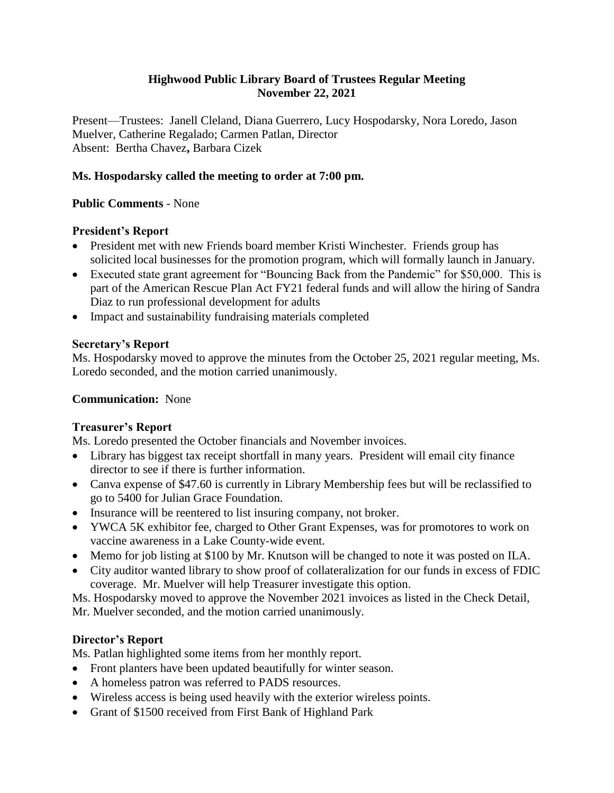# **Highwood Public Library Board of Trustees Regular Meeting November 22, 2021**

Present—Trustees: Janell Cleland, Diana Guerrero, Lucy Hospodarsky, Nora Loredo, Jason Muelver, Catherine Regalado; Carmen Patlan, Director Absent: Bertha Chavez**,** Barbara Cizek

## **Ms. Hospodarsky called the meeting to order at 7:00 pm.**

## **Public Comments** - None

## **President's Report**

- President met with new Friends board member Kristi Winchester. Friends group has solicited local businesses for the promotion program, which will formally launch in January.
- Executed state grant agreement for "Bouncing Back from the Pandemic" for \$50,000. This is part of the American Rescue Plan Act FY21 federal funds and will allow the hiring of Sandra Diaz to run professional development for adults
- Impact and sustainability fundraising materials completed

## **Secretary's Report**

Ms. Hospodarsky moved to approve the minutes from the October 25, 2021 regular meeting, Ms. Loredo seconded, and the motion carried unanimously.

## **Communication:** None

# **Treasurer's Report**

Ms. Loredo presented the October financials and November invoices.

- Library has biggest tax receipt shortfall in many years. President will email city finance director to see if there is further information.
- Canva expense of \$47.60 is currently in Library Membership fees but will be reclassified to go to 5400 for Julian Grace Foundation.
- Insurance will be reentered to list insuring company, not broker.
- YWCA 5K exhibitor fee, charged to Other Grant Expenses, was for promotores to work on vaccine awareness in a Lake County-wide event.
- Memo for job listing at \$100 by Mr. Knutson will be changed to note it was posted on ILA.
- City auditor wanted library to show proof of collateralization for our funds in excess of FDIC coverage. Mr. Muelver will help Treasurer investigate this option.

Ms. Hospodarsky moved to approve the November 2021 invoices as listed in the Check Detail,

Mr. Muelver seconded, and the motion carried unanimously.

# **Director's Report**

Ms. Patlan highlighted some items from her monthly report.

- Front planters have been updated beautifully for winter season.
- A homeless patron was referred to PADS resources.
- Wireless access is being used heavily with the exterior wireless points.
- Grant of \$1500 received from First Bank of Highland Park